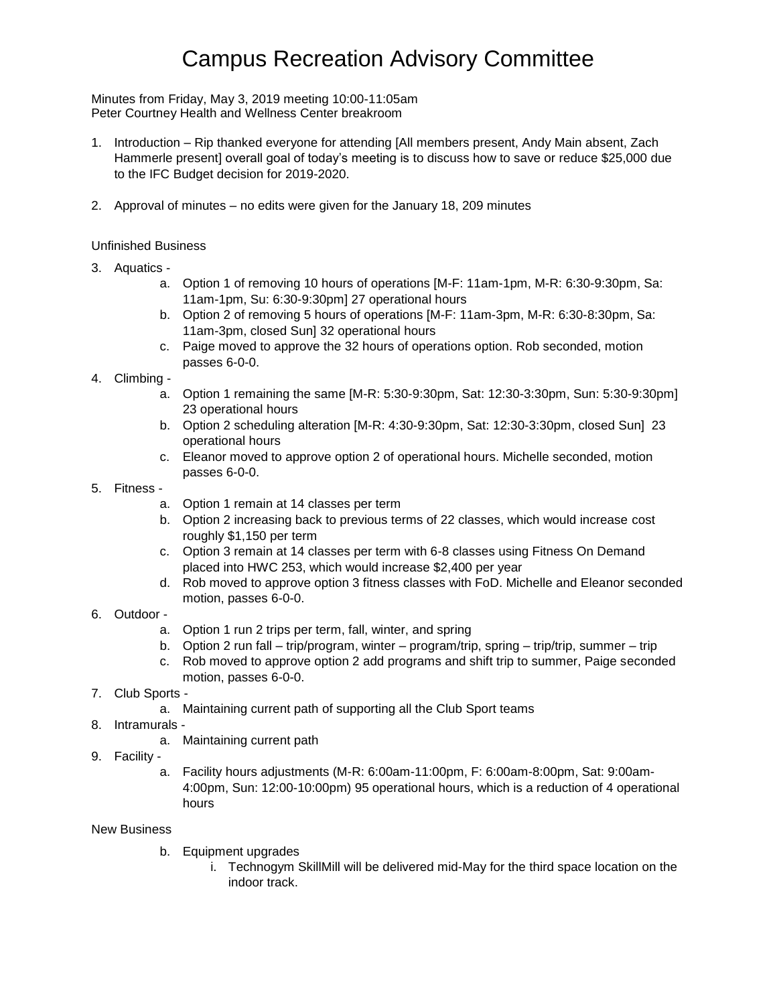# Campus Recreation Advisory Committee

Minutes from Friday, May 3, 2019 meeting 10:00-11:05am Peter Courtney Health and Wellness Center breakroom

- 1. Introduction Rip thanked everyone for attending [All members present, Andy Main absent, Zach Hammerle present] overall goal of today's meeting is to discuss how to save or reduce \$25,000 due to the IFC Budget decision for 2019-2020.
- 2. Approval of minutes no edits were given for the January 18, 209 minutes

#### Unfinished Business

- 3. Aquatics
	- a. Option 1 of removing 10 hours of operations [M-F: 11am-1pm, M-R: 6:30-9:30pm, Sa: 11am-1pm, Su: 6:30-9:30pm] 27 operational hours
	- b. Option 2 of removing 5 hours of operations [M-F: 11am-3pm, M-R: 6:30-8:30pm, Sa: 11am-3pm, closed Sun] 32 operational hours
	- c. Paige moved to approve the 32 hours of operations option. Rob seconded, motion passes 6-0-0.
- 4. Climbing
	- a. Option 1 remaining the same [M-R: 5:30-9:30pm, Sat: 12:30-3:30pm, Sun: 5:30-9:30pm] 23 operational hours
	- b. Option 2 scheduling alteration [M-R: 4:30-9:30pm, Sat: 12:30-3:30pm, closed Sun] 23 operational hours
	- c. Eleanor moved to approve option 2 of operational hours. Michelle seconded, motion passes 6-0-0.
- 5. Fitness
	- a. Option 1 remain at 14 classes per term
	- b. Option 2 increasing back to previous terms of 22 classes, which would increase cost roughly \$1,150 per term
	- c. Option 3 remain at 14 classes per term with 6-8 classes using Fitness On Demand placed into HWC 253, which would increase \$2,400 per year
	- d. Rob moved to approve option 3 fitness classes with FoD. Michelle and Eleanor seconded motion, passes 6-0-0.
- 6. Outdoor
	- a. Option 1 run 2 trips per term, fall, winter, and spring
	- b. Option 2 run fall trip/program, winter program/trip, spring trip/trip, summer trip
	- c. Rob moved to approve option 2 add programs and shift trip to summer, Paige seconded motion, passes 6-0-0.
- 7. Club Sports
	- a. Maintaining current path of supporting all the Club Sport teams
- 8. Intramurals
	- a. Maintaining current path
- 9. Facility
	- a. Facility hours adjustments (M-R: 6:00am-11:00pm, F: 6:00am-8:00pm, Sat: 9:00am-4:00pm, Sun: 12:00-10:00pm) 95 operational hours, which is a reduction of 4 operational hours

#### New Business

- b. Equipment upgrades
	- i. Technogym SkillMill will be delivered mid-May for the third space location on the indoor track.